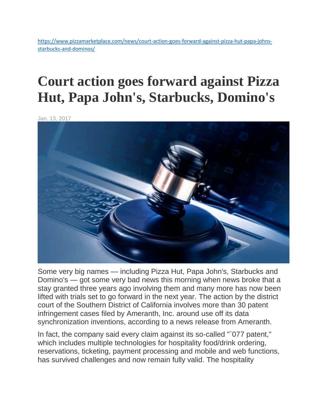[https://www.pizzamarketplace.com/news/court-action-goes-forward-against-pizza-hut-papa-johns](https://www.pizzamarketplace.com/news/court-action-goes-forward-against-pizza-hut-papa-johns-starbucks-and-dominos/)[starbucks-and-dominos/](https://www.pizzamarketplace.com/news/court-action-goes-forward-against-pizza-hut-papa-johns-starbucks-and-dominos/)

## **Court action goes forward against Pizza Hut, Papa John's, Starbucks, Domino's**

Jan. 13, 2017



Some very big names — including Pizza Hut, Papa John's, Starbucks and Domino's — got some very bad news this morning when news broke that a stay granted three years ago involving them and many more has now been lifted with trials set to go forward in the next year. The action by the district court of the Southern District of California involves more than 30 patent infringement cases filed by Ameranth, Inc. around use off its data synchronization inventions, according to a news release from Ameranth.

In fact, the company said every claim against its so-called "`077 patent," which includes multiple technologies for hospitality food/drink ordering, reservations, ticketing, payment processing and mobile and web functions, has survived challenges and now remain fully valid. The hospitality